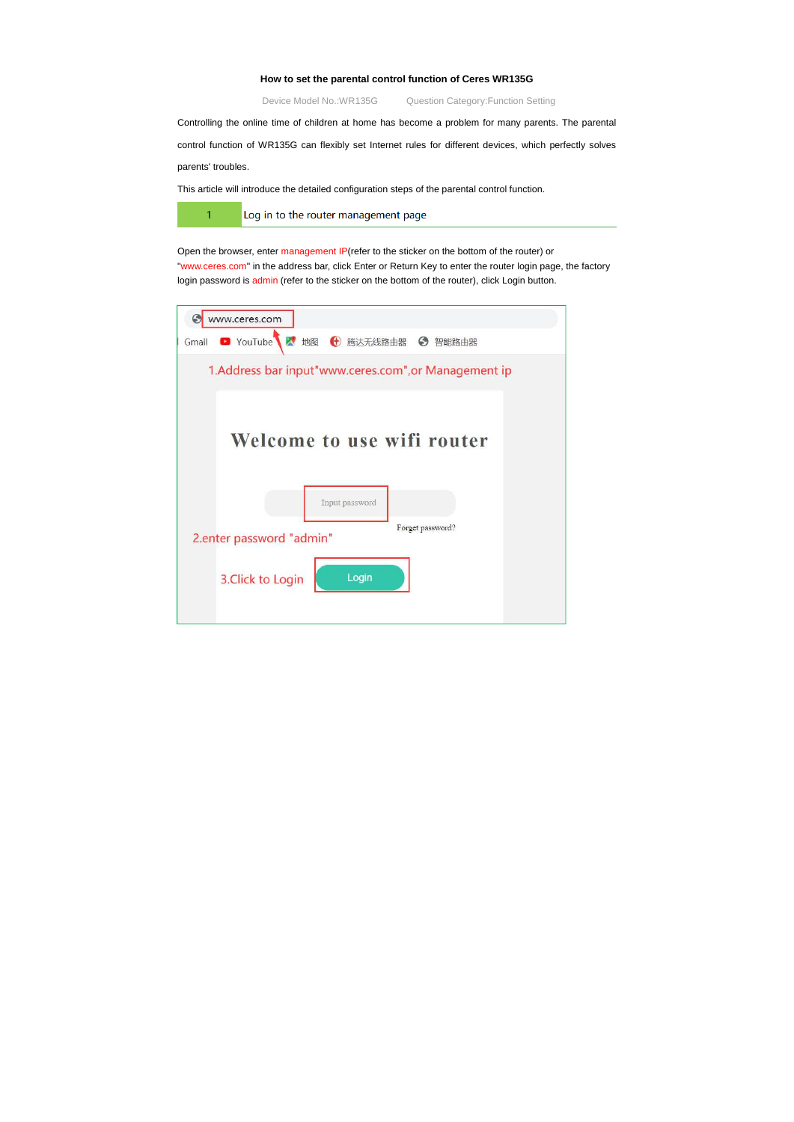## **How to set the parental control function of Ceres WR135G**

Device Model No.:WR135G Question Category:Function Setting

Controlling the online time of children at home has become a problem for many parents. The parental

Open the browser, enter management IP(refer to the sticker on the bottom of the router) or "www.ceres.com" in the address bar, click Enter or Return Key to enter the router login page, the factory login password is admin (refer to the sticker on the bottom of the router), click Login button.



control function of WR135G can flexibly set Internet rules for different devices, which perfectly solves

parents' troubles.

1

This article will introduce the detailed configuration steps of the parental control function.

Log in to the router management page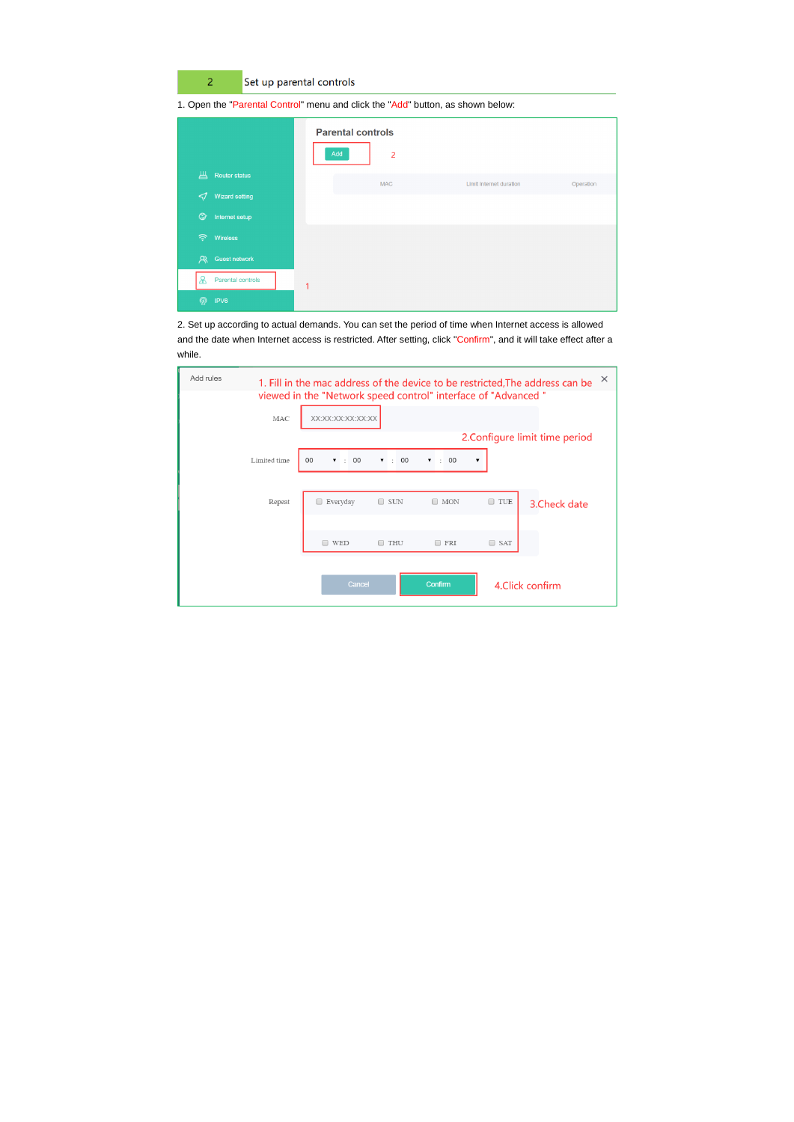$\overline{2}$ Set up parental controls

1. Open the "Parental Control" menu and click the "Add" button, as shown below:

|                                   | <b>Parental controls</b><br>Add<br>$\overline{2}$ |                         |           |
|-----------------------------------|---------------------------------------------------|-------------------------|-----------|
| Щ<br>Router status                | <b>MAC</b>                                        | Limit internet duration | Operation |
| Wizard setting<br>$\triangleleft$ |                                                   |                         |           |
| $\circledcirc$<br>Internet setup  |                                                   |                         |           |
| 今<br><b>Wireless</b>              |                                                   |                         |           |
| R<br><b>Guest network</b>         |                                                   |                         |           |
| <b>Parental controls</b>          |                                                   |                         |           |
| $^{\circledR}$<br>IPV6            |                                                   |                         |           |

2. Set up according to actual demands. You can set the period of time when Internet access is allowed and the date when Internet access is restricted. After setting, click "Confirm", and it will take effect after a while.

| Add rules    |                                                                 |                                 |                                      |                         | 1. Fill in the mac address of the device to be restricted, The address can be $\chi$ |
|--------------|-----------------------------------------------------------------|---------------------------------|--------------------------------------|-------------------------|--------------------------------------------------------------------------------------|
|              | viewed in the "Network speed control" interface of "Advanced "  |                                 |                                      |                         |                                                                                      |
| <b>MAC</b>   | XX:XX:XX:XX:XX:XX                                               |                                 |                                      |                         |                                                                                      |
|              |                                                                 |                                 |                                      |                         | 2. Configure limit time period                                                       |
| Limited time | 00<br>00<br>$\overline{\mathbf{v}}$<br>$\overline{\phantom{a}}$ | : 00<br>$\overline{\mathbf{v}}$ | $\div$ 00<br>$\overline{\mathbf{v}}$ | $\overline{\mathbf{v}}$ |                                                                                      |
|              |                                                                 |                                 |                                      |                         |                                                                                      |
| Repeat       | Everyday                                                        | $\Box$ SUN                      | $\Box$ MON                           | $\Box$ TUE              | 3. Check date                                                                        |
|              |                                                                 |                                 |                                      |                         |                                                                                      |
|              | <b>WED</b><br>$\Box$                                            | THU                             | $\Box$ FRI                           | $\Box$ SAT              |                                                                                      |
|              |                                                                 |                                 |                                      |                         |                                                                                      |
|              | Cancel                                                          |                                 | Confirm                              |                         | 4.Click confirm                                                                      |
|              |                                                                 |                                 |                                      |                         |                                                                                      |